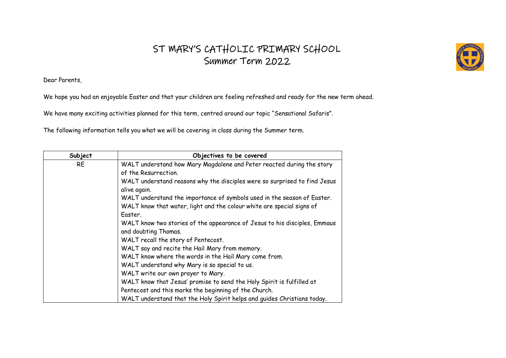## ST MARY'S CATHOLIC PRIMARY SCHOOL Summer Term 2022

Dear Parents,

We hope you had an enjoyable Easter and that your children are feeling refreshed and ready for the new term ahead.

We have many exciting activities planned for this term, centred around our topic "Sensational Safaris".

The following information tells you what we will be covering in class during the Summer term.

| Subject   | Objectives to be covered                                                  |
|-----------|---------------------------------------------------------------------------|
| <b>RE</b> | WALT understand how Mary Magdalene and Peter reacted during the story     |
|           | of the Resurrection.                                                      |
|           | WALT understand reasons why the disciples were so surprised to find Jesus |
|           | alive again.                                                              |
|           | WALT understand the importance of symbols used in the season of Easter.   |
|           | WALT know that water, light and the colour white are special signs of     |
|           | Easter.                                                                   |
|           | WALT know two stories of the appearance of Jesus to his disciples, Emmaus |
|           | and doubting Thomas.                                                      |
|           | WALT recall the story of Pentecost.                                       |
|           | WALT say and recite the Hail Mary from memory.                            |
|           | WALT know where the words in the Hail Mary come from.                     |
|           | WALT understand why Mary is so special to us.                             |
|           | WALT write our own prayer to Mary.                                        |
|           | WALT know that Jesus' promise to send the Holy Spirit is fulfilled at     |
|           | Pentecost and this marks the beginning of the Church.                     |
|           | WALT understand that the Holy Spirit helps and guides Christians today.   |

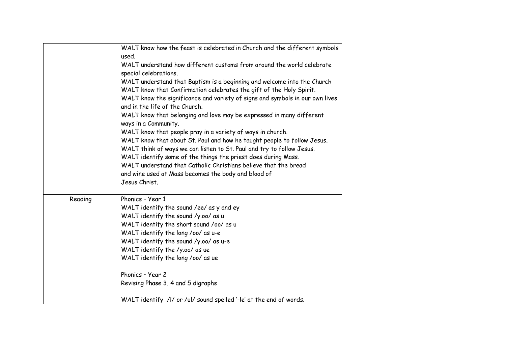| WALT know how the feast is celebrated in Church and the different symbols<br>used.<br>WALT understand how different customs from around the world celebrate<br>special celebrations.<br>WALT understand that Baptism is a beginning and welcome into the Church<br>WALT know that Confirmation celebrates the gift of the Holy Spirit.<br>WALT know the significance and variety of signs and symbols in our own lives<br>and in the life of the Church.<br>WALT know that belonging and love may be expressed in many different<br>ways in a Community.<br>WALT know that people pray in a variety of ways in church.<br>WALT know that about St. Paul and how he taught people to follow Jesus.<br>WALT think of ways we can listen to St. Paul and try to follow Jesus. |  |
|----------------------------------------------------------------------------------------------------------------------------------------------------------------------------------------------------------------------------------------------------------------------------------------------------------------------------------------------------------------------------------------------------------------------------------------------------------------------------------------------------------------------------------------------------------------------------------------------------------------------------------------------------------------------------------------------------------------------------------------------------------------------------|--|
|                                                                                                                                                                                                                                                                                                                                                                                                                                                                                                                                                                                                                                                                                                                                                                            |  |
|                                                                                                                                                                                                                                                                                                                                                                                                                                                                                                                                                                                                                                                                                                                                                                            |  |
|                                                                                                                                                                                                                                                                                                                                                                                                                                                                                                                                                                                                                                                                                                                                                                            |  |
|                                                                                                                                                                                                                                                                                                                                                                                                                                                                                                                                                                                                                                                                                                                                                                            |  |
|                                                                                                                                                                                                                                                                                                                                                                                                                                                                                                                                                                                                                                                                                                                                                                            |  |
|                                                                                                                                                                                                                                                                                                                                                                                                                                                                                                                                                                                                                                                                                                                                                                            |  |
|                                                                                                                                                                                                                                                                                                                                                                                                                                                                                                                                                                                                                                                                                                                                                                            |  |
|                                                                                                                                                                                                                                                                                                                                                                                                                                                                                                                                                                                                                                                                                                                                                                            |  |
|                                                                                                                                                                                                                                                                                                                                                                                                                                                                                                                                                                                                                                                                                                                                                                            |  |
| WALT identify some of the things the priest does during Mass.                                                                                                                                                                                                                                                                                                                                                                                                                                                                                                                                                                                                                                                                                                              |  |
| WALT understand that Catholic Christians believe that the bread                                                                                                                                                                                                                                                                                                                                                                                                                                                                                                                                                                                                                                                                                                            |  |
| and wine used at Mass becomes the body and blood of                                                                                                                                                                                                                                                                                                                                                                                                                                                                                                                                                                                                                                                                                                                        |  |
| Jesus Christ.                                                                                                                                                                                                                                                                                                                                                                                                                                                                                                                                                                                                                                                                                                                                                              |  |
| Phonics - Year 1<br>Reading                                                                                                                                                                                                                                                                                                                                                                                                                                                                                                                                                                                                                                                                                                                                                |  |
| WALT identify the sound /ee/ as y and ey                                                                                                                                                                                                                                                                                                                                                                                                                                                                                                                                                                                                                                                                                                                                   |  |
| WALT identify the sound /y.oo/ as u                                                                                                                                                                                                                                                                                                                                                                                                                                                                                                                                                                                                                                                                                                                                        |  |
| WALT identify the short sound /oo/ as u                                                                                                                                                                                                                                                                                                                                                                                                                                                                                                                                                                                                                                                                                                                                    |  |
| WALT identify the long /oo/ as u-e                                                                                                                                                                                                                                                                                                                                                                                                                                                                                                                                                                                                                                                                                                                                         |  |
| WALT identify the sound /y.oo/ as u-e                                                                                                                                                                                                                                                                                                                                                                                                                                                                                                                                                                                                                                                                                                                                      |  |
| WALT identify the /y.oo/ as ue                                                                                                                                                                                                                                                                                                                                                                                                                                                                                                                                                                                                                                                                                                                                             |  |
| WALT identify the long /oo/ as ue                                                                                                                                                                                                                                                                                                                                                                                                                                                                                                                                                                                                                                                                                                                                          |  |
| Phonics - Year 2                                                                                                                                                                                                                                                                                                                                                                                                                                                                                                                                                                                                                                                                                                                                                           |  |
| Revising Phase 3, 4 and 5 digraphs                                                                                                                                                                                                                                                                                                                                                                                                                                                                                                                                                                                                                                                                                                                                         |  |
| WALT identify /I/ or /ul/ sound spelled '-le' at the end of words.                                                                                                                                                                                                                                                                                                                                                                                                                                                                                                                                                                                                                                                                                                         |  |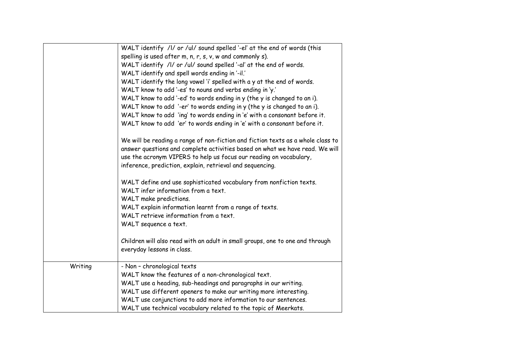|         | WALT identify /l/ or /ul/ sound spelled '-el' at the end of words (this                                                                                                                                                                                                                            |
|---------|----------------------------------------------------------------------------------------------------------------------------------------------------------------------------------------------------------------------------------------------------------------------------------------------------|
|         | spelling is used after m, n, r, s, v, w and commonly s).                                                                                                                                                                                                                                           |
|         | WALT identify /I/ or /ul/ sound spelled '-al' at the end of words.                                                                                                                                                                                                                                 |
|         | WALT identify and spell words ending in '-il.'                                                                                                                                                                                                                                                     |
|         | WALT identify the long vowel 'i' spelled with a y at the end of words.                                                                                                                                                                                                                             |
|         | WALT know to add '-es' to nouns and verbs ending in 'y.'                                                                                                                                                                                                                                           |
|         | WALT know to add '-ed' to words ending in y (the y is changed to an i).                                                                                                                                                                                                                            |
|         | WALT know to add '-er' to words ending in y (the y is changed to an i).                                                                                                                                                                                                                            |
|         | WALT know to add 'ing' to words ending in 'e' with a consonant before it.                                                                                                                                                                                                                          |
|         | WALT know to add 'er' to words ending in 'e' with a consonant before it.                                                                                                                                                                                                                           |
|         | We will be reading a range of non-fiction and fiction texts as a whole class to<br>answer questions and complete activities based on what we have read. We will<br>use the acronym VIPERS to help us focus our reading on vocabulary,<br>inference, prediction, explain, retrieval and sequencing. |
|         | WALT define and use sophisticated vocabulary from nonfiction texts.<br>WALT infer information from a text.<br>WALT make predictions.                                                                                                                                                               |
|         | WALT explain information learnt from a range of texts.                                                                                                                                                                                                                                             |
|         | WALT retrieve information from a text.                                                                                                                                                                                                                                                             |
|         | WALT sequence a text.                                                                                                                                                                                                                                                                              |
|         | Children will also read with an adult in small groups, one to one and through<br>everyday lessons in class.                                                                                                                                                                                        |
| Writing | - Non - chronological texts                                                                                                                                                                                                                                                                        |
|         | WALT know the features of a non-chronological text.                                                                                                                                                                                                                                                |
|         | WALT use a heading, sub-headings and paragraphs in our writing.                                                                                                                                                                                                                                    |
|         | WALT use different openers to make our writing more interesting.                                                                                                                                                                                                                                   |
|         | WALT use conjunctions to add more information to our sentences.                                                                                                                                                                                                                                    |
|         | WALT use technical vocabulary related to the topic of Meerkats.                                                                                                                                                                                                                                    |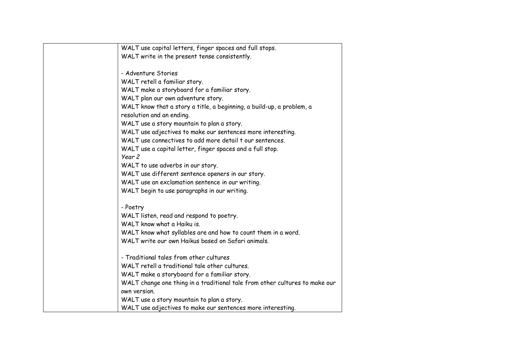| WALT use capital letters, finger spaces and full stops.                     |
|-----------------------------------------------------------------------------|
| WALT write in the present tense consistently.                               |
|                                                                             |
| - Adventure Stories                                                         |
| WALT retell a familiar story.                                               |
| WALT make a storyboard for a familiar story.                                |
| WALT plan our own adventure story.                                          |
| WALT know that a story a title, a beginning, a build-up, a problem, a       |
| resolution and an ending.                                                   |
| WALT use a story mountain to plan a story.                                  |
| WALT use adjectives to make our sentences more interesting.                 |
| WALT use connectives to add more detail t our sentences.                    |
| WALT use a capital letter, finger spaces and a full stop.                   |
| Year 2                                                                      |
| WALT to use adverbs in our story.                                           |
| WALT use different sentence openers in our story.                           |
| WALT use an exclamation sentence in our writing.                            |
| WALT begin to use paragraphs in our writing.                                |
|                                                                             |
| - Poetry                                                                    |
| WALT listen, read and respond to poetry.                                    |
| WALT know what a Haiku is.                                                  |
| WALT know what syllables are and how to count them in a word.               |
| WALT write our own Haikus based on Safari animals.                          |
| - Traditional tales from other cultures                                     |
| WALT retell a traditional tale other cultures.                              |
| WALT make a storyboard for a familiar story.                                |
| WALT change one thing in a traditional tale from other cultures to make our |
| own version.                                                                |
| WALT use a story mountain to plan a story.                                  |
| WALT use adjectives to make our sentences more interesting.                 |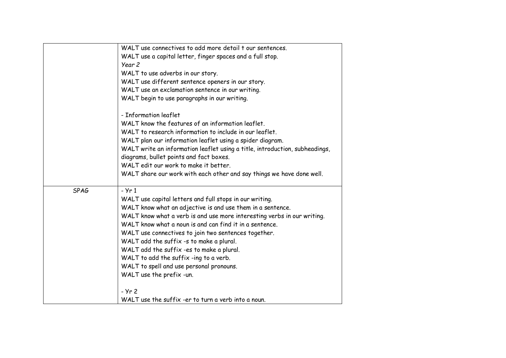|             | WALT use connectives to add more detail t our sentences.                    |
|-------------|-----------------------------------------------------------------------------|
|             | WALT use a capital letter, finger spaces and a full stop.                   |
|             | Year <sub>2</sub>                                                           |
|             | WALT to use adverbs in our story.                                           |
|             | WALT use different sentence openers in our story.                           |
|             | WALT use an exclamation sentence in our writing.                            |
|             | WALT begin to use paragraphs in our writing.                                |
|             | - Information leaflet                                                       |
|             | WALT know the features of an information leaflet.                           |
|             | WALT to research information to include in our leaflet.                     |
|             | WALT plan our information leaflet using a spider diagram.                   |
|             | WALT write an information leaflet using a title, introduction, subheadings, |
|             | diagrams, bullet points and fact boxes.                                     |
|             | WALT edit our work to make it better.                                       |
|             | WALT share our work with each other and say things we have done well.       |
| <b>SPAG</b> | $- Yr1$                                                                     |
|             | WALT use capital letters and full stops in our writing.                     |
|             | WALT know what an adjective is and use them in a sentence.                  |
|             | WALT know what a verb is and use more interesting verbs in our writing.     |
|             | WALT know what a noun is and can find it in a sentence.                     |
|             | WALT use connectives to join two sentences together.                        |
|             | WALT add the suffix -s to make a plural.                                    |
|             | WALT add the suffix -es to make a plural.                                   |
|             | WALT to add the suffix -ing to a verb.                                      |
|             | WALT to spell and use personal pronouns.                                    |
|             | WALT use the prefix -un.                                                    |
|             | - Yr 2                                                                      |
|             | WALT use the suffix -er to turn a verb into a noun.                         |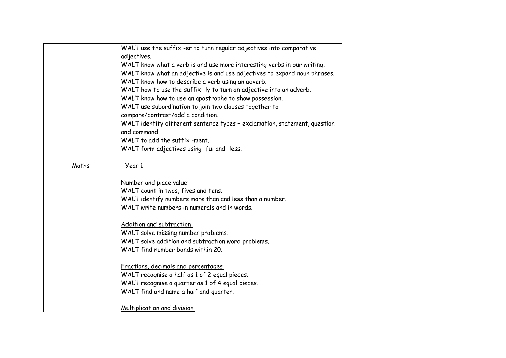|       | WALT use the suffix -er to turn regular adjectives into comparative                       |
|-------|-------------------------------------------------------------------------------------------|
|       | adjectives.                                                                               |
|       | WALT know what a verb is and use more interesting verbs in our writing.                   |
|       | WALT know what an adjective is and use adjectives to expand noun phrases.                 |
|       | WALT know how to describe a verb using an adverb.                                         |
|       | WALT how to use the suffix -ly to turn an adjective into an adverb.                       |
|       | WALT know how to use an apostrophe to show possession.                                    |
|       | WALT use subordination to join two clauses together to                                    |
|       | compare/contrast/add a condition.                                                         |
|       | WALT identify different sentence types - exclamation, statement, question<br>and command. |
|       | WALT to add the suffix -ment.                                                             |
|       | WALT form adjectives using -ful and -less.                                                |
|       |                                                                                           |
| Maths | - Year 1                                                                                  |
|       | Number and place value:                                                                   |
|       | WALT count in twos, fives and tens.                                                       |
|       | WALT identify numbers more than and less than a number.                                   |
|       | WALT write numbers in numerals and in words.                                              |
|       |                                                                                           |
|       | Addition and subtraction                                                                  |
|       | WALT solve missing number problems.                                                       |
|       | WALT solve addition and subtraction word problems.                                        |
|       | WALT find number bonds within 20.                                                         |
|       |                                                                                           |
|       | Fractions, decimals and percentages                                                       |
|       | WALT recognise a half as 1 of 2 equal pieces.                                             |
|       | WALT recognise a quarter as 1 of 4 equal pieces.                                          |
|       | WALT find and name a half and quarter.                                                    |
|       |                                                                                           |
|       | Multiplication and division                                                               |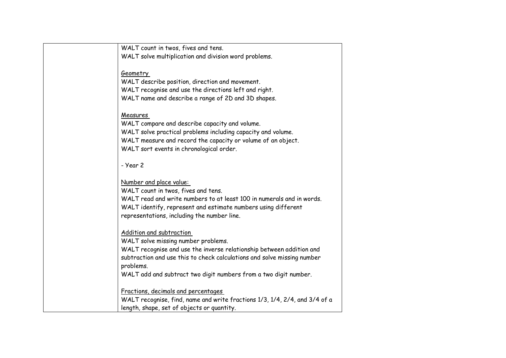| WALT count in twos, fives and tens.                                        |
|----------------------------------------------------------------------------|
| WALT solve multiplication and division word problems.                      |
|                                                                            |
| Geometry                                                                   |
| WALT describe position, direction and movement.                            |
| WALT recognise and use the directions left and right.                      |
| WALT name and describe a range of 2D and 3D shapes.                        |
|                                                                            |
| Measures                                                                   |
| WALT compare and describe capacity and volume.                             |
| WALT solve practical problems including capacity and volume.               |
| WALT measure and record the capacity or volume of an object.               |
| WALT sort events in chronological order.                                   |
|                                                                            |
| - Year 2                                                                   |
|                                                                            |
| Number and place value:                                                    |
| WALT count in twos, fives and tens.                                        |
| WALT read and write numbers to at least 100 in numerals and in words.      |
| WALT identify, represent and estimate numbers using different              |
| representations, including the number line.                                |
|                                                                            |
| Addition and subtraction                                                   |
| WALT solve missing number problems.                                        |
| WALT recognise and use the inverse relationship between addition and       |
| subtraction and use this to check calculations and solve missing number    |
| problems.                                                                  |
| WALT add and subtract two digit numbers from a two digit number.           |
|                                                                            |
| Fractions, decimals and percentages                                        |
| WALT recognise, find, name and write fractions 1/3, 1/4, 2/4, and 3/4 of a |
| length, shape, set of objects or quantity.                                 |
|                                                                            |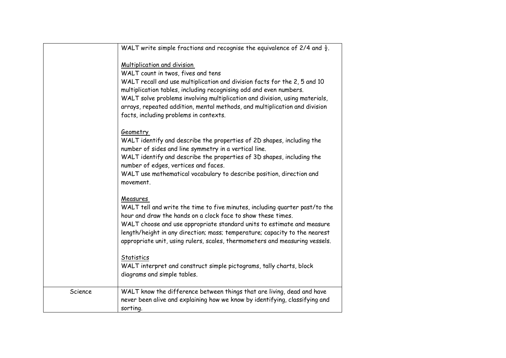|         | WALT write simple fractions and recognise the equivalence of 2/4 and $\frac{1}{2}$ .                                                                                                                                                                                                                                                                                                           |
|---------|------------------------------------------------------------------------------------------------------------------------------------------------------------------------------------------------------------------------------------------------------------------------------------------------------------------------------------------------------------------------------------------------|
|         | Multiplication and division<br>WALT count in twos, fives and tens<br>WALT recall and use multiplication and division facts for the 2, 5 and 10<br>multiplication tables, including recognising odd and even numbers.<br>WALT solve problems involving multiplication and division, using materials,<br>arrays, repeated addition, mental methods, and multiplication and division              |
|         | facts, including problems in contexts.<br>Geometry                                                                                                                                                                                                                                                                                                                                             |
|         | WALT identify and describe the properties of 2D shapes, including the<br>number of sides and line symmetry in a vertical line.<br>WALT identify and describe the properties of 3D shapes, including the<br>number of edges, vertices and faces.                                                                                                                                                |
|         | WALT use mathematical vocabulary to describe position, direction and<br>movement.                                                                                                                                                                                                                                                                                                              |
|         | Measures<br>WALT tell and write the time to five minutes, including quarter past/to the<br>hour and draw the hands on a clock face to show these times.<br>WALT choose and use appropriate standard units to estimate and measure<br>length/height in any direction; mass; temperature; capacity to the nearest<br>appropriate unit, using rulers, scales, thermometers and measuring vessels. |
|         | Statistics<br>WALT interpret and construct simple pictograms, tally charts, block<br>diagrams and simple tables.                                                                                                                                                                                                                                                                               |
| Science | WALT know the difference between things that are living, dead and have<br>never been alive and explaining how we know by identifying, classifying and<br>sorting.                                                                                                                                                                                                                              |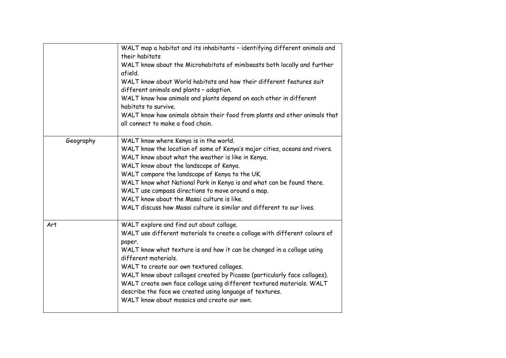|           | WALT map a habitat and its inhabitants - identifying different animals and<br>their habitats<br>WALT know about the Microhabitats of minibeasts both locally and further<br>afield.<br>WALT know about World habitats and how their different features suit<br>different animals and plants - adaption.<br>WALT know how animals and plants depend on each other in different<br>habitats to survive.<br>WALT know how animals obtain their food from plants and other animals that<br>all connect to make a food chain.                         |
|-----------|--------------------------------------------------------------------------------------------------------------------------------------------------------------------------------------------------------------------------------------------------------------------------------------------------------------------------------------------------------------------------------------------------------------------------------------------------------------------------------------------------------------------------------------------------|
| Geography | WALT know where Kenya is in the world.<br>WALT know the location of some of Kenya's major cities, oceans and rivers.<br>WALT know about what the weather is like in Kenya.<br>WALT know about the landscape of Kenya.<br>WALT compare the landscape of Kenya to the UK.<br>WALT know what National Park in Kenya is and what can be found there.<br>WALT use compass directions to move around a map.<br>WALT know about the Masai culture is like.<br>WALT discuss how Masai culture is similar and different to our lives.                     |
| Art       | WALT explore and find out about collage.<br>WALT use different materials to create a collage with different colours of<br>paper.<br>WALT know what texture is and how it can be changed in a collage using<br>different materials.<br>WALT to create our own textured collages.<br>WALT know about collages created by Picasso (particularly face collages).<br>WALT create own face collage using different textured materials. WALT<br>describe the face we created using language of textures.<br>WALT know about mosaics and create our own. |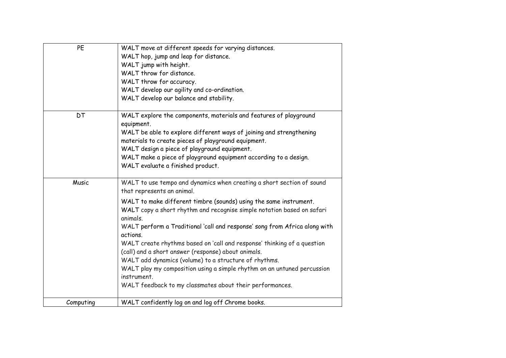| PE        | WALT move at different speeds for varying distances.<br>WALT hop, jump and leap for distance.<br>WALT jump with height.<br>WALT throw for distance.<br>WALT throw for accuracy.<br>WALT develop our agility and co-ordination.<br>WALT develop our balance and stability.                                                                                                                                                                                                                                                                                                                                                                                                                                 |
|-----------|-----------------------------------------------------------------------------------------------------------------------------------------------------------------------------------------------------------------------------------------------------------------------------------------------------------------------------------------------------------------------------------------------------------------------------------------------------------------------------------------------------------------------------------------------------------------------------------------------------------------------------------------------------------------------------------------------------------|
| <b>DT</b> | WALT explore the components, materials and features of playground<br>equipment.<br>WALT be able to explore different ways of joining and strengthening<br>materials to create pieces of playground equipment.<br>WALT design a piece of playground equipment.<br>WALT make a piece of playground equipment according to a design.<br>WALT evaluate a finished product.                                                                                                                                                                                                                                                                                                                                    |
| Music     | WALT to use tempo and dynamics when creating a short section of sound<br>that represents an animal.<br>WALT to make different timbre (sounds) using the same instrument.<br>WALT copy a short rhythm and recognise simple notation based on safari<br>animals.<br>WALT perform a Traditional 'call and response' song from Africa along with<br>actions.<br>WALT create rhythms based on 'call and response' thinking of a question<br>(call) and a short answer (response) about animals.<br>WALT add dynamics (volume) to a structure of rhythms.<br>WALT play my composition using a simple rhythm on an untuned percussion<br>instrument.<br>WALT feedback to my classmates about their performances. |
| Computing | WALT confidently log on and log off Chrome books.                                                                                                                                                                                                                                                                                                                                                                                                                                                                                                                                                                                                                                                         |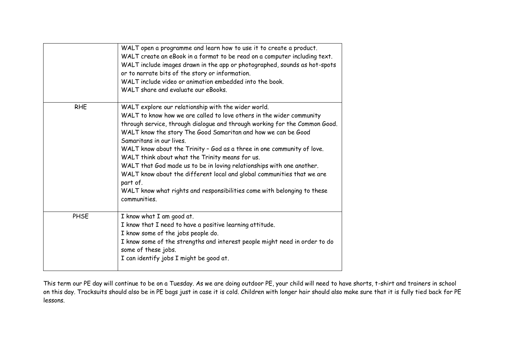|            | WALT open a programme and learn how to use it to create a product.<br>WALT create an eBook in a format to be read on a computer including text.<br>WALT include images drawn in the app or photographed, sounds as hot-spots<br>or to narrate bits of the story or information.<br>WALT include video or animation embedded into the book.<br>WALT share and evaluate our eBooks.                                                                                                                                                                                                                                                                                                             |
|------------|-----------------------------------------------------------------------------------------------------------------------------------------------------------------------------------------------------------------------------------------------------------------------------------------------------------------------------------------------------------------------------------------------------------------------------------------------------------------------------------------------------------------------------------------------------------------------------------------------------------------------------------------------------------------------------------------------|
| <b>RHE</b> | WALT explore our relationship with the wider world.<br>WALT to know how we are called to love others in the wider community<br>through service, through dialogue and through working for the Common Good.<br>WALT know the story The Good Samaritan and how we can be Good<br>Samaritans in our lives.<br>WALT know about the Trinity - God as a three in one community of love.<br>WALT think about what the Trinity means for us.<br>WALT that God made us to be in loving relationships with one another.<br>WALT know about the different local and global communities that we are<br>part of.<br>WALT know what rights and responsibilities come with belonging to these<br>communities. |
| PHSE       | I know what I am good at.<br>I know that I need to have a positive learning attitude.<br>I know some of the jobs people do.<br>I know some of the strengths and interest people might need in order to do<br>some of these jobs.<br>I can identify jobs I might be good at.                                                                                                                                                                                                                                                                                                                                                                                                                   |

This term our PE day will continue to be on a Tuesday. As we are doing outdoor PE, your child will need to have shorts, t-shirt and trainers in school on this day. Tracksuits should also be in PE bags just in case it is cold. Children with longer hair should also make sure that it is fully tied back for PE lessons.